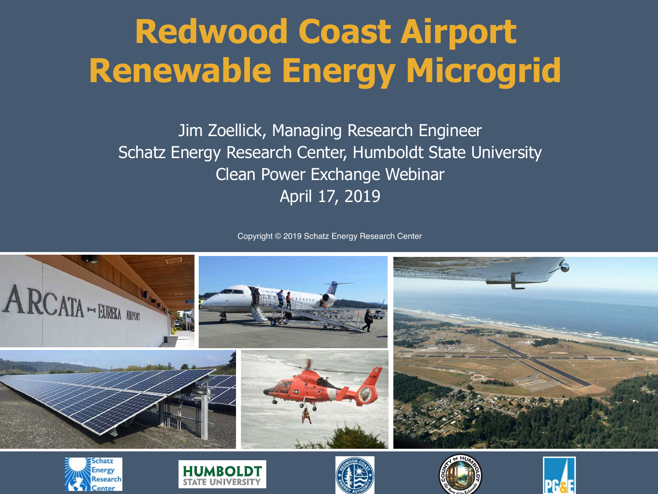## **Redwood Coast Airport Renewable Energy Microgrid**

Jim Zoellick, Managing Research Engineer Schatz Energy Research Center, Humboldt State University Clean Power Exchange Webinar April 17, 2019

Copyright © 2019 Schatz Energy Research Center











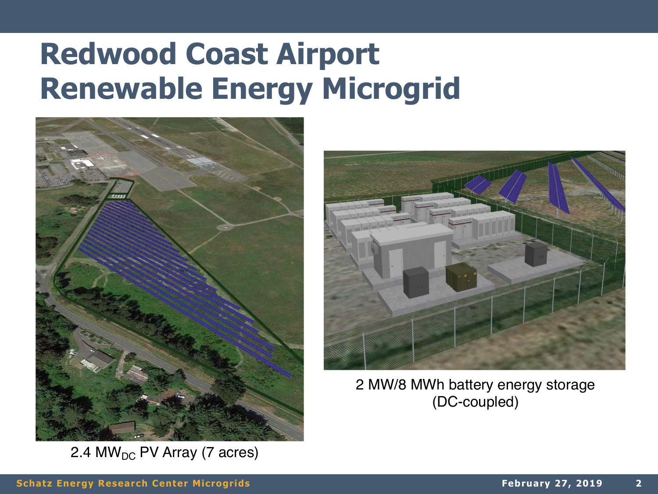#### **Redwood Coast Airport Renewable Energy Microgrid**



2.4 MW<sub>DC</sub> PV Array (7 acres)



2 MW/8 MWh battery energy storage (DC-coupled)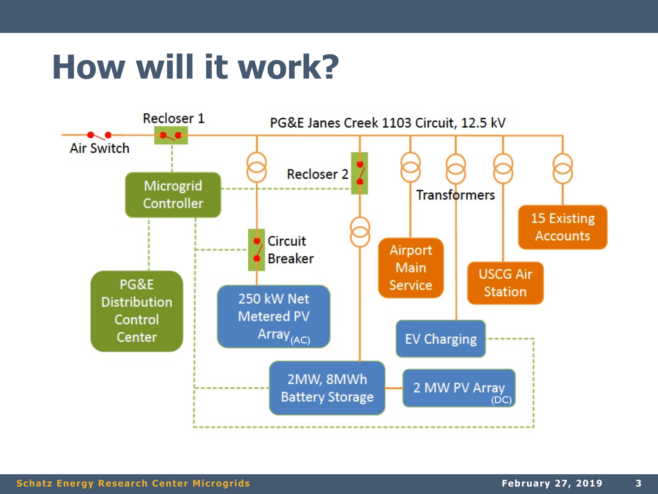## **How will it work?**

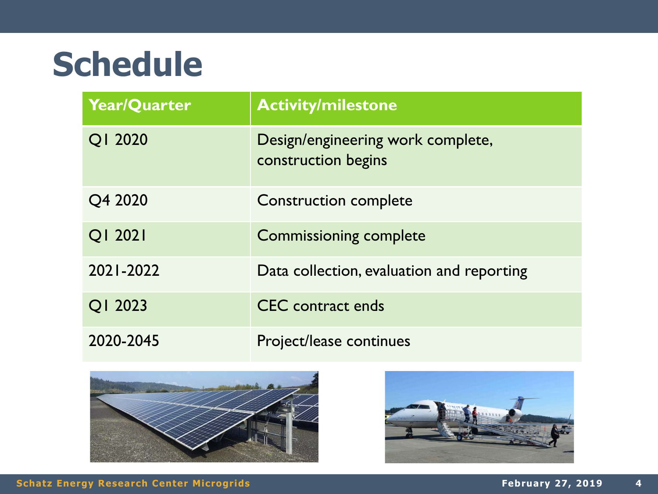### **Schedule**

| <b>Year/Quarter</b> | <b>Activity/milestone</b>                                |
|---------------------|----------------------------------------------------------|
| QI 2020             | Design/engineering work complete,<br>construction begins |
| Q4 2020             | Construction complete                                    |
| QI 2021             | <b>Commissioning complete</b>                            |
| 2021-2022           | Data collection, evaluation and reporting                |
| Q1 2023             | <b>CEC</b> contract ends                                 |
| 2020-2045           | Project/lease continues                                  |



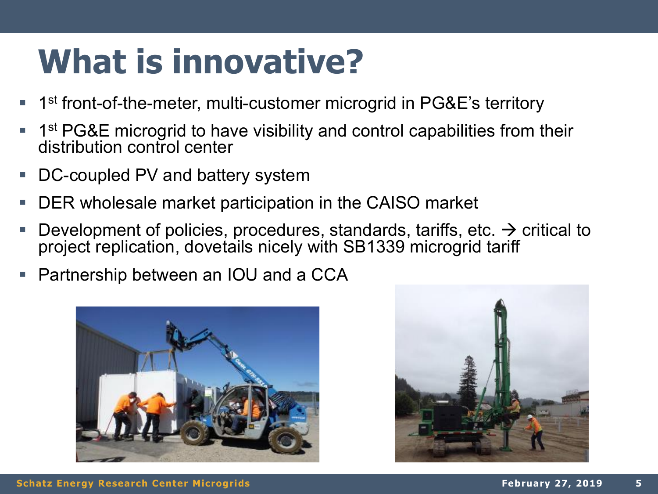### **What is innovative?**

- 1<sup>st</sup> front-of-the-meter, multi-customer microgrid in PG&E's territory
- $\blacksquare$  1<sup>st</sup> PG&E microgrid to have visibility and control capabilities from their distribution control center
- DC-coupled PV and battery system
- DER wholesale market participation in the CAISO market
- Development of policies, procedures, standards, tariffs, etc.  $\rightarrow$  critical to project replication, dovetails nicely with SB1339 microgrid tariff
- Partnership between an IOU and a CCA





**5**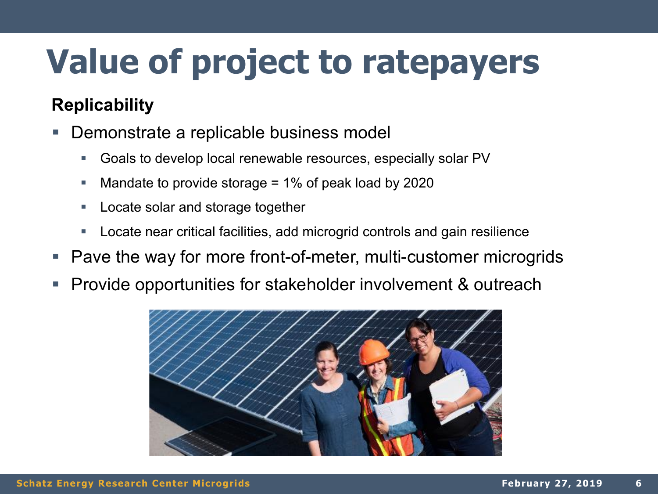# **Value of project to ratepayers**

#### **Replicability**

- § Demonstrate a replicable business model
	- Goals to develop local renewable resources, especially solar PV
	- Mandate to provide storage = 1% of peak load by 2020
	- Locate solar and storage together
	- Locate near critical facilities, add microgrid controls and gain resilience
- § Pave the way for more front-of-meter, multi-customer microgrids
- § Provide opportunities for stakeholder involvement & outreach

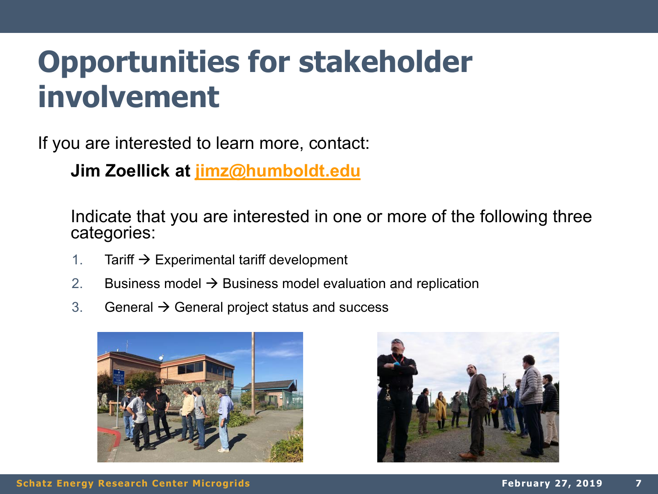#### **Opportunities for stakeholder involvement**

If you are interested to learn more, contact:

**Jim Zoellick at [jimz@humboldt.edu](mailto:jimz@humboldt.edu)**

Indicate that you are interested in one or more of the following three categories:

- 1. Tariff  $\rightarrow$  Experimental tariff development
- 2. Business model  $\rightarrow$  Business model evaluation and replication
- 3. General  $\rightarrow$  General project status and success